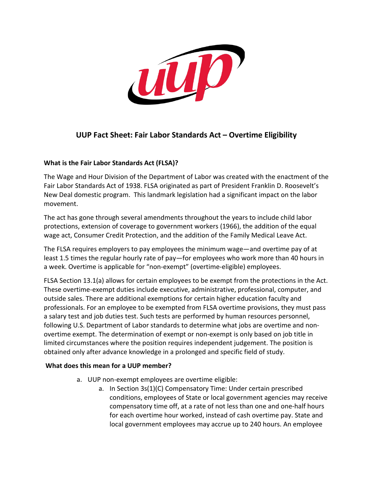

# **UUP Fact Sheet: Fair Labor Standards Act – Overtime Eligibility**

#### **What is the Fair Labor Standards Act (FLSA)?**

The Wage and Hour Division of the Department of Labor was created with the enactment of the Fair Labor Standards Act of 1938. FLSA originated as part of President Franklin D. Roosevelt's New Deal domestic program. This landmark legislation had a significant impact on the labor movement.

The act has gone through several amendments throughout the years to include child labor protections, extension of coverage to government workers (1966), the addition of the equal wage act, Consumer Credit Protection, and the addition of the Family Medical Leave Act.

The FLSA requires employers to pay employees the minimum wage—and overtime pay of at least 1.5 times the regular hourly rate of pay—for employees who work more than 40 hours in a week. Overtime is applicable for "non-exempt" (overtime-eligible) employees.

FLSA Section 13.1(a) allows for certain employees to be exempt from the protections in the Act. These overtime-exempt duties include executive, administrative, professional, computer, and outside sales. There are additional exemptions for certain higher education faculty and professionals. For an employee to be exempted from FLSA overtime provisions, they must pass a salary test and job duties test. Such tests are performed by human resources personnel, following U.S. Department of Labor standards to determine what jobs are overtime and nonovertime exempt. The determination of exempt or non-exempt is only based on job title in limited circumstances where the position requires independent judgement. The position is obtained only after advance knowledge in a prolonged and specific field of study.

#### **What does this mean for a UUP member?**

- a. UUP non-exempt employees are overtime eligible:
	- a. In Section 3s(1)(C) Compensatory Time: Under certain prescribed conditions, employees of State or local government agencies may receive compensatory time off, at a rate of not less than one and one-half hours for each overtime hour worked, instead of cash overtime pay. State and local government employees may accrue up to 240 hours. An employee